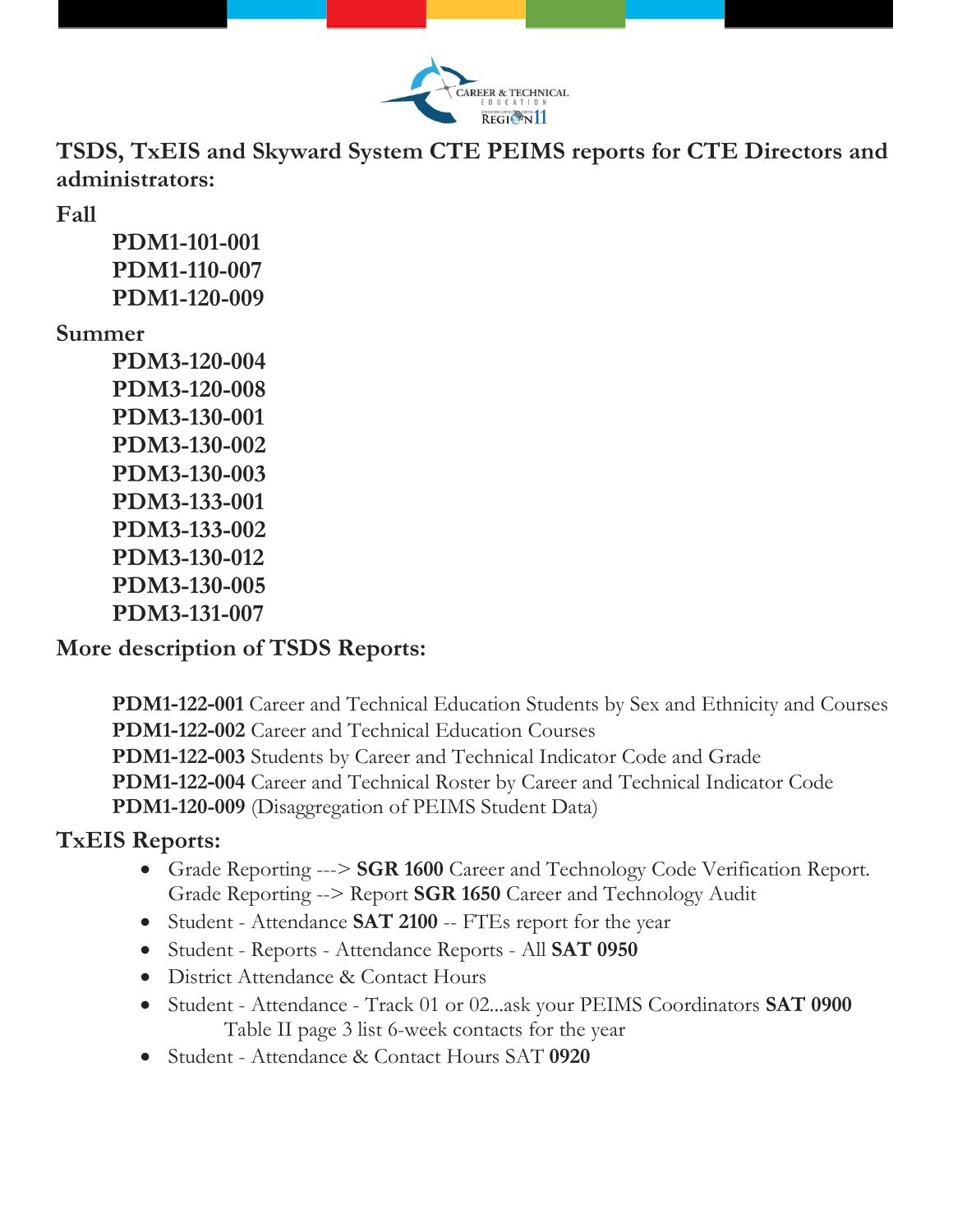

**TSDS, TxEIS and Skyward System CTE PEIMS reports for CTE Directors and administrators:** 

**Fall**

**PDM1-101-001 PDM1-110-007 PDM1-120-009**

## **Summer**

**PDM3-120-004 PDM3-120-008 PDM3-130-001 PDM3-130-002 PDM3-130-003 PDM3-133-001 PDM3-133-002 PDM3-130-012 PDM3-130-005 PDM3-131-007**

## **More description of TSDS Reports:**

**PDM1‐122‐001** Career and Technical Education Students by Sex and Ethnicity and Courses **PDM1‐122‐002** Career and Technical Education Courses **PDM1‐122‐003** Students by Career and Technical Indicator Code and Grade **PDM1‐122‐004** Career and Technical Roster by Career and Technical Indicator Code **PDM1-120-009** (Disaggregation of PEIMS Student Data)

## **TxEIS Reports:**

- Grade Reporting ---> **SGR 1600** Career and Technology Code Verification Report. Grade Reporting --> Report **SGR 1650** Career and Technology Audit
- Student Attendance **SAT 2100** -- FTEs report for the year
- Student Reports Attendance Reports All **SAT 0950**
- District Attendance & Contact Hours
- Student Attendance Track 01 or 02...ask your PEIMS Coordinators **SAT 0900** Table II page 3 list 6-week contacts for the year
- Student Attendance & Contact Hours SAT **0920**